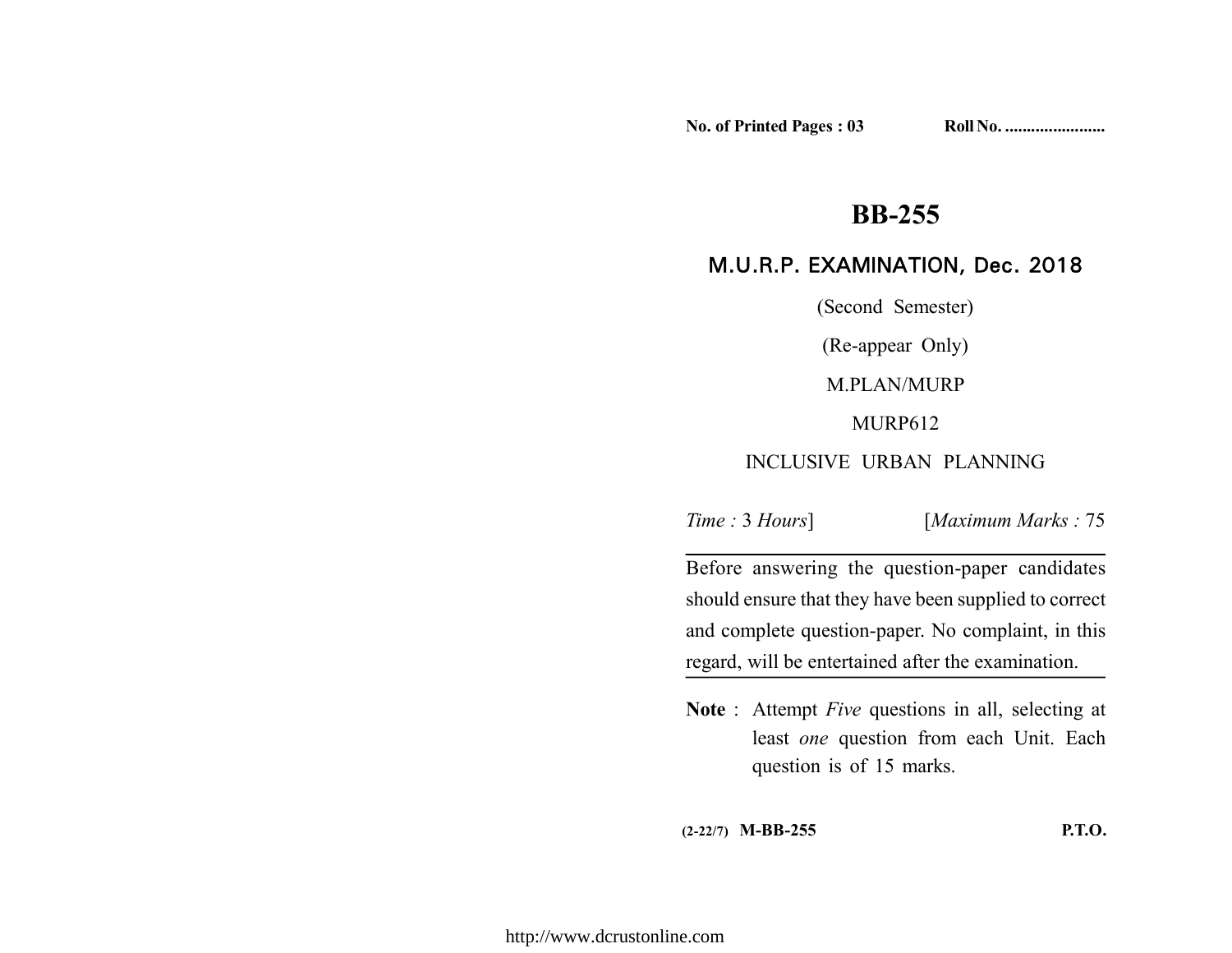**No. of Printed Pages : 03 Roll No. .......................**

# **BB-255**

# M.U.R.P. EXAMINATION, Dec. 2018

(Second Semester)

(Re-appear Only)

M.PLAN/MURP

MURP612

# INCLUSIVE URBAN PLANNING

*Time :* 3 *Hours*] [*Maximum Marks :* 75

Before answering the question-paper candidates should ensure that they have been supplied to correct and complete question-paper. No complaint, in this regard, will be entertained after the examination.

**Note** : Attempt *Five* questions in all, selecting at least *one* question from each Unit. Each question is of 15 marks.

**(2-22/7) M-BB-255 P.T.O.**